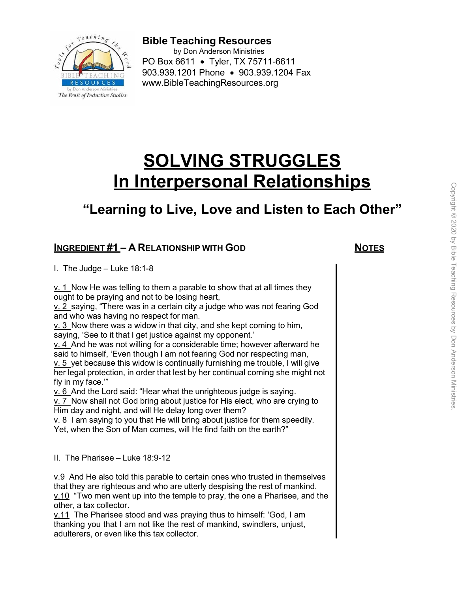

**Bible Teaching Resources** by Don Anderson Ministries PO Box 6611 • Tyler, TX 75711-6611 903.939.1201 Phone • 903.939.1204 Fax [www.BibleTeachingResources.org](http://www.bibleteachingresources.org/) 

# **SOLVING STRUGGLES In Interpersonal Relationships**

# **"Learning to Live, Love and Listen to Each Other"**

# **INGREDIENT #1 – A RELATIONSHIP WITH GOD NOTES**

I. The Judge – Luke 18:1-8

 $v. 1$  Now He was telling to them a parable to show that at all times they ought to be praying and not to be losing heart,

v. 2 saying, "There was in a certain city a judge who was not fearing God and who was having no respect for man.

v. 3 Now there was a widow in that city, and she kept coming to him, saying, 'See to it that I get justice against my opponent.'

v. 4 And he was not willing for a considerable time; however afterward he said to himself, 'Even though I am not fearing God nor respecting man, v. 5 yet because this widow is continually furnishing me trouble, I will give her legal protection, in order that lest by her continual coming she might not fly in my face.'"

v. 6 And the Lord said: "Hear what the unrighteous judge is saying.

v. 7 Now shall not God bring about justice for His elect, who are crying to Him day and night, and will He delay long over them?

 $\underline{v}$ . 8 I am saying to you that He will bring about justice for them speedily. Yet, when the Son of Man comes, will He find faith on the earth?"

II. The Pharisee – Luke 18:9-12

 $v.9$  And He also told this parable to certain ones who trusted in themselves that they are righteous and who are utterly despising the rest of mankind. v.10 "Two men went up into the temple to pray, the one a Pharisee, and the other, a tax collector.

v.11 The Pharisee stood and was praying thus to himself: 'God, I am thanking you that I am not like the rest of mankind, swindlers, unjust, adulterers, or even like this tax collector.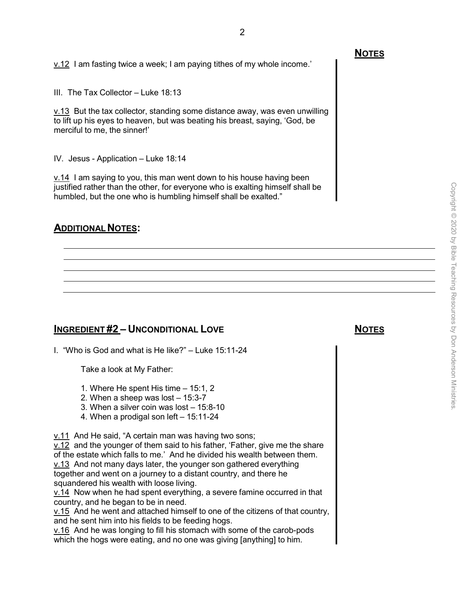III. The Tax Collector – Luke 18:13

v.13 But the tax collector, standing some distance away, was even unwilling to lift up his eyes to heaven, but was beating his breast, saying, 'God, be merciful to me, the sinner!'

IV. Jesus - Application – Luke 18:14

v.14 I am saying to you, this man went down to his house having been justified rather than the other, for everyone who is exalting himself shall be humbled, but the one who is humbling himself shall be exalted."

### **ADDITIONAL NOTES:**

# **INGREDIENT #2 – UNCONDITIONAL LOVE NOTES**

I. "Who is God and what is He like?" – Luke 15:11-24

Take a look at My Father:

- 1. Where He spent His time 15:1, 2
- 2. When a sheep was lost 15:3-7
- 3. When a silver coin was lost 15:8-10
- 4. When a prodigal son left 15:11-24

v.11 And He said, "A certain man was having two sons;

v.12 and the younger of them said to his father, 'Father, give me the share of the estate which falls to me.' And he divided his wealth between them. v.13 And not many days later, the younger son gathered everything together and went on a journey to a distant country, and there he squandered his wealth with loose living.

v.14 Now when he had spent everything, a severe famine occurred in that country, and he began to be in need.

v.15 And he went and attached himself to one of the citizens of that country, and he sent him into his fields to be feeding hogs.

v.16 And he was longing to fill his stomach with some of the carob-pods which the hogs were eating, and no one was giving [anything] to him.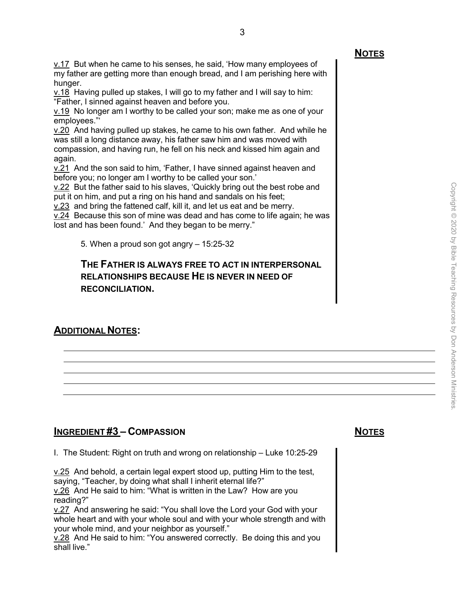v.17 But when he came to his senses, he said, 'How many employees of my father are getting more than enough bread, and I am perishing here with hunger.

v.18 Having pulled up stakes, I will go to my father and I will say to him: "Father, I sinned against heaven and before you.

v.19 No longer am I worthy to be called your son; make me as one of your employees."'

v.20 And having pulled up stakes, he came to his own father. And while he was still a long distance away, his father saw him and was moved with compassion, and having run, he fell on his neck and kissed him again and again.

v.21 And the son said to him, 'Father, I have sinned against heaven and before you; no longer am I worthy to be called your son.'

v.22 But the father said to his slaves, 'Quickly bring out the best robe and put it on him, and put a ring on his hand and sandals on his feet;

v.23 and bring the fattened calf, kill it, and let us eat and be merry.

v.24 Because this son of mine was dead and has come to life again; he was lost and has been found.' And they began to be merry."

5. When a proud son got angry – 15:25-32

# **THE FATHER IS ALWAYS FREE TO ACT IN INTERPERSONAL RELATIONSHIPS BECAUSE HE IS NEVER IN NEED OF RECONCILIATION.**

# **ADDITIONAL NOTES:**

# **INGREDIENT #3 – COMPASSION NOTES**

I. The Student: Right on truth and wrong on relationship – Luke 10:25-29

v.25 And behold, a certain legal expert stood up, putting Him to the test, saying, "Teacher, by doing what shall I inherit eternal life?" v.26 And He said to him: "What is written in the Law? How are you reading?"

v.27 And answering he said: "You shall love the Lord your God with your whole heart and with your whole soul and with your whole strength and with your whole mind, and your neighbor as yourself."

v.28 And He said to him: "You answered correctly. Be doing this and you shall live."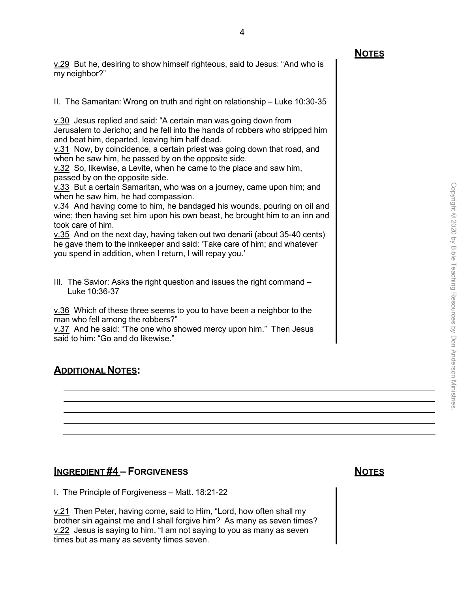v.29 But he, desiring to show himself righteous, said to Jesus: "And who is my neighbor?"

II. The Samaritan: Wrong on truth and right on relationship – Luke 10:30-35

v.30 Jesus replied and said: "A certain man was going down from Jerusalem to Jericho; and he fell into the hands of robbers who stripped him and beat him, departed, leaving him half dead.

v.31 Now, by coincidence, a certain priest was going down that road, and when he saw him, he passed by on the opposite side.

v.32 So, likewise, a Levite, when he came to the place and saw him, passed by on the opposite side.

v.33 But a certain Samaritan, who was on a journey, came upon him; and when he saw him, he had compassion.

v.34 And having come to him, he bandaged his wounds, pouring on oil and wine; then having set him upon his own beast, he brought him to an inn and took care of him.

v.35 And on the next day, having taken out two denarii (about 35-40 cents) he gave them to the innkeeper and said: 'Take care of him; and whatever you spend in addition, when I return, I will repay you.'

III. The Savior: Asks the right question and issues the right command – Luke 10:36-37

v.36 Which of these three seems to you to have been a neighbor to the man who fell among the robbers?"

v.37 And he said: "The one who showed mercy upon him." Then Jesus said to him: "Go and do likewise."

# **ADDITIONAL NOTES:**

# **INGREDIENT #4 – FORGIVENESS NOTES**

I. The Principle of Forgiveness – Matt. 18:21-22

v.21 Then Peter, having come, said to Him, "Lord, how often shall my brother sin against me and I shall forgive him? As many as seven times?  $v.22$  Jesus is saying to him, "I am not saying to you as many as seven times but as many as seventy times seven.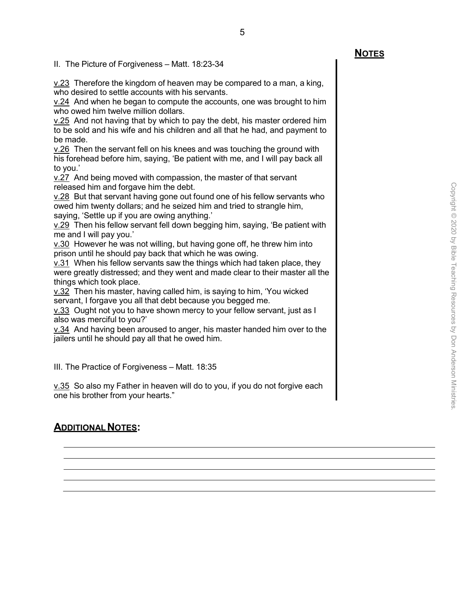v.23 Therefore the kingdom of heaven may be compared to a man, a king, who desired to settle accounts with his servants.

5

v.24 And when he began to compute the accounts, one was brought to him who owed him twelve million dollars.

v.25 And not having that by which to pay the debt, his master ordered him to be sold and his wife and his children and all that he had, and payment to be made.

v.26 Then the servant fell on his knees and was touching the ground with his forehead before him, saying, 'Be patient with me, and I will pay back all to you.'

v.27 And being moved with compassion, the master of that servant released him and forgave him the debt.

v.28 But that servant having gone out found one of his fellow servants who owed him twenty dollars; and he seized him and tried to strangle him, saying, 'Settle up if you are owing anything.'

v.29 Then his fellow servant fell down begging him, saying, 'Be patient with me and I will pay you.'

v.30 However he was not willing, but having gone off, he threw him into prison until he should pay back that which he was owing.

v.31 When his fellow servants saw the things which had taken place, they were greatly distressed; and they went and made clear to their master all the things which took place.

v.32 Then his master, having called him, is saying to him, 'You wicked servant, I forgave you all that debt because you begged me.

v.33 Ought not you to have shown mercy to your fellow servant, just as I also was merciful to you?'

v.34 And having been aroused to anger, his master handed him over to the jailers until he should pay all that he owed him.

III. The Practice of Forgiveness – Matt. 18:35

v.35 So also my Father in heaven will do to you, if you do not forgive each one his brother from your hearts."

# **ADDITIONAL NOTES:**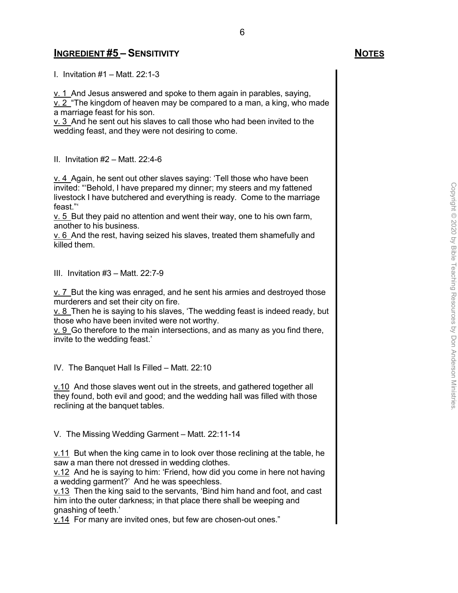### **INGREDIENT #5 – SENSITIVITY NOTES**

I. Invitation #1 – Matt. 22:1-3

 $v. 1$  And Jesus answered and spoke to them again in parables, saying,

 $v. 2$  "The kingdom of heaven may be compared to a man, a king, who made a marriage feast for his son.

v. 3 And he sent out his slaves to call those who had been invited to the wedding feast, and they were not desiring to come.

II. Invitation #2 – Matt. 22:4-6

v. 4 Again, he sent out other slaves saying: 'Tell those who have been invited: "'Behold, I have prepared my dinner; my steers and my fattened livestock I have butchered and everything is ready. Come to the marriage feast."'

v. 5 But they paid no attention and went their way, one to his own farm, another to his business.

v. 6 And the rest, having seized his slaves, treated them shamefully and killed them.

III. Invitation #3 – Matt. 22:7-9

 $\underline{v}$ .  $\overline{7}$  But the king was enraged, and he sent his armies and destroyed those murderers and set their city on fire.

v. 8 Then he is saying to his slaves, 'The wedding feast is indeed ready, but those who have been invited were not worthy.

v. 9 Go therefore to the main intersections, and as many as you find there, invite to the wedding feast.'

IV. The Banquet Hall Is Filled – Matt. 22:10

v.10 And those slaves went out in the streets, and gathered together all they found, both evil and good; and the wedding hall was filled with those reclining at the banquet tables.

V. The Missing Wedding Garment – Matt. 22:11-14

 $v.11$  But when the king came in to look over those reclining at the table, he saw a man there not dressed in wedding clothes.

v.12 And he is saying to him: 'Friend, how did you come in here not having a wedding garment?' And he was speechless.

v.13 Then the king said to the servants, 'Bind him hand and foot, and cast him into the outer darkness; in that place there shall be weeping and gnashing of teeth.'

v.14 For many are invited ones, but few are chosen-out ones."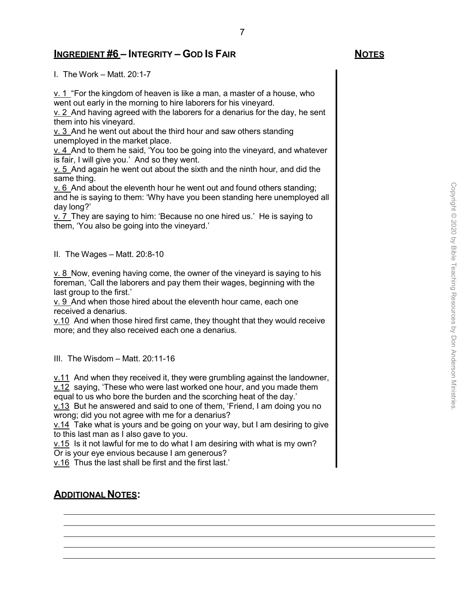### **INGREDIENT #6 – INTEGRITY – GOD IS FAIR NOTES**

I. The Work – Matt. 20:1-7

v. 1 "For the kingdom of heaven is like a man, a master of a house, who went out early in the morning to hire laborers for his vineyard.

v. 2 And having agreed with the laborers for a denarius for the day, he sent them into his vineyard.

v. 3 And he went out about the third hour and saw others standing unemployed in the market place.

v. 4 And to them he said, 'You too be going into the vineyard, and whatever is fair, I will give you.' And so they went.

v. 5 And again he went out about the sixth and the ninth hour, and did the same thing.

v. 6 And about the eleventh hour he went out and found others standing; and he is saying to them: 'Why have you been standing here unemployed all day long?'

v. 7 They are saying to him: 'Because no one hired us.' He is saying to them, 'You also be going into the vineyard.'

II. The Wages – Matt. 20:8-10

v. 8 Now, evening having come, the owner of the vineyard is saying to his foreman, 'Call the laborers and pay them their wages, beginning with the last group to the first.'

v. 9 And when those hired about the eleventh hour came, each one received a denarius.

 $v.10$  And when those hired first came, they thought that they would receive more; and they also received each one a denarius.

III. The Wisdom – Matt. 20:11-16

v.11 And when they received it, they were grumbling against the landowner, v.12 saying, 'These who were last worked one hour, and you made them

equal to us who bore the burden and the scorching heat of the day.'

v.13 But he answered and said to one of them, 'Friend, I am doing you no wrong; did you not agree with me for a denarius?

v.14 Take what is yours and be going on your way, but I am desiring to give to this last man as I also gave to you.

v.15 Is it not lawful for me to do what I am desiring with what is my own?

Or is your eye envious because I am generous?

v.16 Thus the last shall be first and the first last.'

# **ADDITIONAL NOTES:**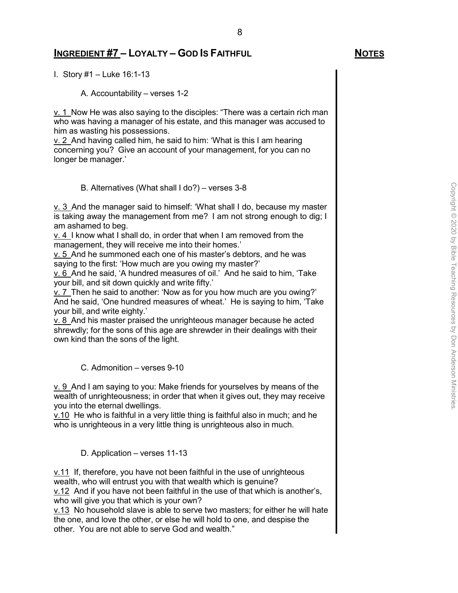# **INGREDIENT #7 – LOYALTY – GOD IS FAITHFUL NOTES**

I. Story #1 – Luke 16:1-13

A. Accountability – verses 1-2

v. 1 Now He was also saying to the disciples: "There was a certain rich man who was having a manager of his estate, and this manager was accused to him as wasting his possessions.

8

v. 2 And having called him, he said to him: 'What is this I am hearing concerning you? Give an account of your management, for you can no longer be manager.'

B. Alternatives (What shall I do?) – verses 3-8

v. 3 And the manager said to himself: 'What shall I do, because my master is taking away the management from me? I am not strong enough to dig; I am ashamed to beg.

v. 4 I know what I shall do, in order that when I am removed from the management, they will receive me into their homes.'

v. 5 And he summoned each one of his master's debtors, and he was saying to the first: 'How much are you owing my master?'

v. 6 And he said, 'A hundred measures of oil.' And he said to him, 'Take your bill, and sit down quickly and write fifty.'

v. 7 Then he said to another: 'Now as for you how much are you owing?' And he said, 'One hundred measures of wheat.' He is saying to him, 'Take your bill, and write eighty.'

 $v. 8$  And his master praised the unrighteous manager because he acted shrewdly; for the sons of this age are shrewder in their dealings with their own kind than the sons of the light.

C. Admonition – verses 9-10

v. 9 And I am saying to you: Make friends for yourselves by means of the wealth of unrighteousness; in order that when it gives out, they may receive you into the eternal dwellings.

v.10 He who is faithful in a very little thing is faithful also in much; and he who is unrighteous in a very little thing is unrighteous also in much.

D. Application – verses 11-13

v.11 If, therefore, you have not been faithful in the use of unrighteous wealth, who will entrust you with that wealth which is genuine? v.12 And if you have not been faithful in the use of that which is another's, who will give you that which is your own?

 $v.13$  No household slave is able to serve two masters; for either he will hate the one, and love the other, or else he will hold to one, and despise the other. You are not able to serve God and wealth."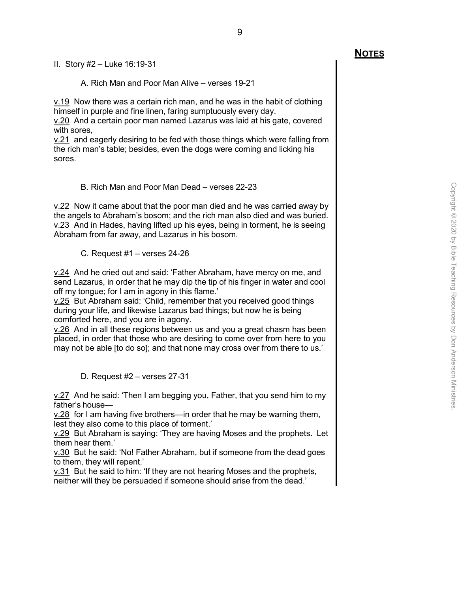II. Story #2 – Luke 16:19-31

A. Rich Man and Poor Man Alive – verses 19-21

v.19 Now there was a certain rich man, and he was in the habit of clothing himself in purple and fine linen, faring sumptuously every day.

v.20 And a certain poor man named Lazarus was laid at his gate, covered with sores,

v.21 and eagerly desiring to be fed with those things which were falling from the rich man's table; besides, even the dogs were coming and licking his sores.

B. Rich Man and Poor Man Dead – verses 22-23

 $v.22$  Now it came about that the poor man died and he was carried away by the angels to Abraham's bosom; and the rich man also died and was buried. v.23 And in Hades, having lifted up his eyes, being in torment, he is seeing Abraham from far away, and Lazarus in his bosom.

C. Request #1 – verses 24-26

v.24 And he cried out and said: 'Father Abraham, have mercy on me, and send Lazarus, in order that he may dip the tip of his finger in water and cool off my tongue; for I am in agony in this flame.'

v.25 But Abraham said: 'Child, remember that you received good things during your life, and likewise Lazarus bad things; but now he is being comforted here, and you are in agony.

v.26 And in all these regions between us and you a great chasm has been placed, in order that those who are desiring to come over from here to you may not be able [to do so]; and that none may cross over from there to us.'

D. Request #2 – verses 27-31

 $v.27$  And he said: 'Then I am begging you, Father, that you send him to my father's house—

v.28 for I am having five brothers—in order that he may be warning them, lest they also come to this place of torment.'

v.29 But Abraham is saying: 'They are having Moses and the prophets. Let them hear them.'

v.30 But he said: 'No! Father Abraham, but if someone from the dead goes to them, they will repent.'

v.31 But he said to him: 'If they are not hearing Moses and the prophets, neither will they be persuaded if someone should arise from the dead.'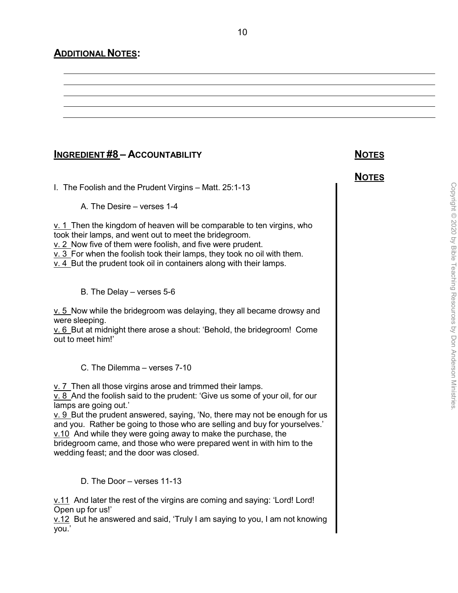# **ADDITIONAL NOTES:**

# **INGREDIENT #8 – ACCOUNTABILITY NOTES**

I. The Foolish and the Prudent Virgins – Matt. 25:1-13

A. The Desire – verses 1-4

 $\underline{v. 1}$  Then the kingdom of heaven will be comparable to ten virgins, who took their lamps, and went out to meet the bridegroom. v. 2 Now five of them were foolish, and five were prudent.

10

v. 3 For when the foolish took their lamps, they took no oil with them.

v. 4 But the prudent took oil in containers along with their lamps.

B. The Delay – verses 5-6

v. 5 Now while the bridegroom was delaying, they all became drowsy and were sleeping.

v. 6 But at midnight there arose a shout: 'Behold, the bridegroom! Come out to meet him!'

C. The Dilemma – verses 7-10

 $\underline{v}$ . 7 Then all those virgins arose and trimmed their lamps.

v. 8 And the foolish said to the prudent: 'Give us some of your oil, for our lamps are going out.'

v. 9 But the prudent answered, saying, 'No, there may not be enough for us and you. Rather be going to those who are selling and buy for yourselves.' v.10 And while they were going away to make the purchase, the bridegroom came, and those who were prepared went in with him to the wedding feast; and the door was closed.

D. The Door – verses 11-13

v.11 And later the rest of the virgins are coming and saying: 'Lord! Lord! Open up for us!'

v.12 But he answered and said, 'Truly I am saying to you, I am not knowing you.'

**NOTES**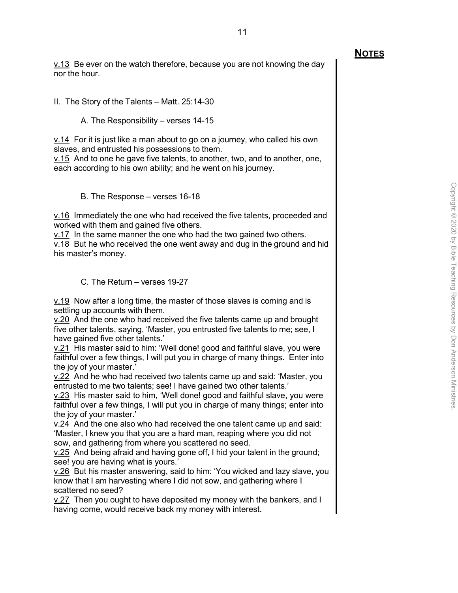v.13 Be ever on the watch therefore, because you are not knowing the day nor the hour.

II. The Story of the Talents – Matt. 25:14-30

A. The Responsibility – verses 14-15

 $v.14$  For it is just like a man about to go on a journey, who called his own slaves, and entrusted his possessions to them.

v.15 And to one he gave five talents, to another, two, and to another, one, each according to his own ability; and he went on his journey.

B. The Response – verses 16-18

v.16 Immediately the one who had received the five talents, proceeded and worked with them and gained five others.

v.17 In the same manner the one who had the two gained two others. v.18 But he who received the one went away and dug in the ground and hid his master's money.

C. The Return – verses 19-27

v.19 Now after a long time, the master of those slaves is coming and is settling up accounts with them.

v.20 And the one who had received the five talents came up and brought five other talents, saying, 'Master, you entrusted five talents to me; see, I have gained five other talents.'

v.21 His master said to him: 'Well done! good and faithful slave, you were faithful over a few things, I will put you in charge of many things. Enter into the joy of your master.'

v.22 And he who had received two talents came up and said: 'Master, you entrusted to me two talents; see! I have gained two other talents.'

v.23 His master said to him, 'Well done! good and faithful slave, you were faithful over a few things, I will put you in charge of many things; enter into the joy of your master.'

v.24 And the one also who had received the one talent came up and said: 'Master, I knew you that you are a hard man, reaping where you did not sow, and gathering from where you scattered no seed.

v.25 And being afraid and having gone off, I hid your talent in the ground; see! you are having what is yours.'

v.26 But his master answering, said to him: 'You wicked and lazy slave, you know that I am harvesting where I did not sow, and gathering where I scattered no seed?

v.27 Then you ought to have deposited my money with the bankers, and I having come, would receive back my money with interest.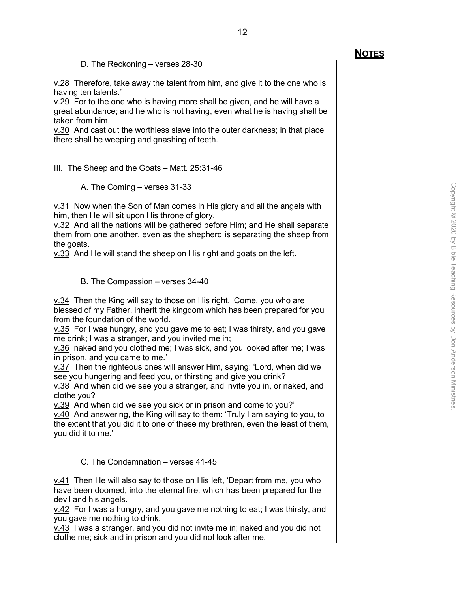D. The Reckoning – verses 28-30

v.28 Therefore, take away the talent from him, and give it to the one who is having ten talents.'

v.29 For to the one who is having more shall be given, and he will have a great abundance; and he who is not having, even what he is having shall be taken from him.

v.30 And cast out the worthless slave into the outer darkness; in that place there shall be weeping and gnashing of teeth.

III. The Sheep and the Goats – Matt. 25:31-46

A. The Coming – verses 31-33

 $v.31$  Now when the Son of Man comes in His glory and all the angels with him, then He will sit upon His throne of glory.

v.32 And all the nations will be gathered before Him; and He shall separate them from one another, even as the shepherd is separating the sheep from the goats.

v.33 And He will stand the sheep on His right and goats on the left.

#### B. The Compassion – verses 34-40

v.34 Then the King will say to those on His right, 'Come, you who are blessed of my Father, inherit the kingdom which has been prepared for you from the foundation of the world.

 $v.35$  For I was hungry, and you gave me to eat; I was thirsty, and you gave me drink; I was a stranger, and you invited me in;

v.36 naked and you clothed me; I was sick, and you looked after me; I was in prison, and you came to me.'

v.37 Then the righteous ones will answer Him, saying: 'Lord, when did we see you hungering and feed you, or thirsting and give you drink?

v.38 And when did we see you a stranger, and invite you in, or naked, and clothe you?

v.39 And when did we see you sick or in prison and come to you?'

v.40 And answering, the King will say to them: 'Truly I am saying to you, to the extent that you did it to one of these my brethren, even the least of them, you did it to me.'

C. The Condemnation – verses 41-45

v.41 Then He will also say to those on His left, 'Depart from me, you who have been doomed, into the eternal fire, which has been prepared for the devil and his angels.

v.42 For I was a hungry, and you gave me nothing to eat; I was thirsty, and you gave me nothing to drink.

v.43 I was a stranger, and you did not invite me in; naked and you did not clothe me; sick and in prison and you did not look after me.'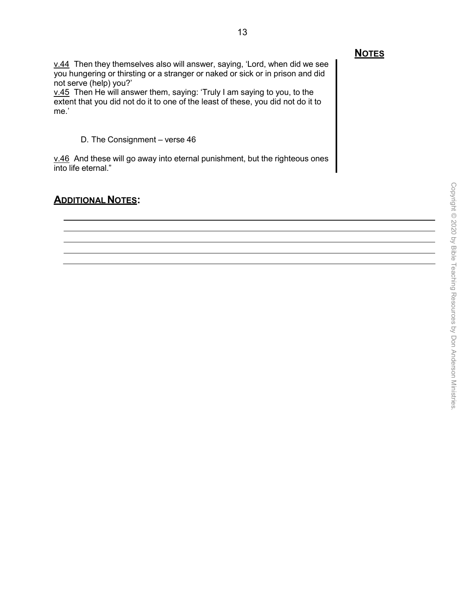v.44 Then they themselves also will answer, saying, 'Lord, when did we see you hungering or thirsting or a stranger or naked or sick or in prison and did not serve (help) you?'

13

v.45 Then He will answer them, saying: 'Truly I am saying to you, to the extent that you did not do it to one of the least of these, you did not do it to me.'

D. The Consignment – verse 46

v.46 And these will go away into eternal punishment, but the righteous ones into life eternal."

### **ADDITIONAL NOTES:**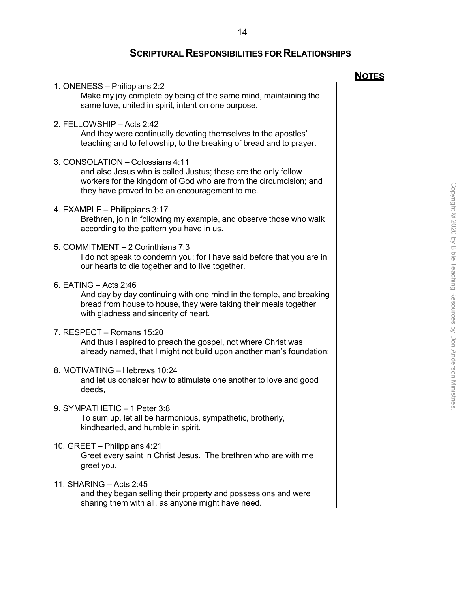#### **SCRIPTURAL RESPONSIBILITIES FOR RELATIONSHIPS**

1. ONENESS – Philippians 2:2 Make my joy complete by being of the same mind, maintaining the same love, united in spirit, intent on one purpose. 2. FELLOWSHIP – Acts 2:42 And they were continually devoting themselves to the apostles' teaching and to fellowship, to the breaking of bread and to prayer. 3. CONSOLATION – Colossians 4:11 and also Jesus who is called Justus; these are the only fellow workers for the kingdom of God who are from the circumcision; and they have proved to be an encouragement to me. 4. EXAMPLE – Philippians 3:17 Brethren, join in following my example, and observe those who walk according to the pattern you have in us. 5. COMMITMENT – 2 Corinthians 7:3 I do not speak to condemn you; for I have said before that you are in our hearts to die together and to live together. 6. EATING – Acts 2:46 And day by day continuing with one mind in the temple, and breaking bread from house to house, they were taking their meals together with gladness and sincerity of heart. 7. RESPECT – Romans 15:20 And thus I aspired to preach the gospel, not where Christ was already named, that I might not build upon another man's foundation; 8. MOTIVATING – Hebrews 10:24 and let us consider how to stimulate one another to love and good deeds, 9. SYMPATHETIC – 1 Peter 3:8 To sum up, let all be harmonious, sympathetic, brotherly, kindhearted, and humble in spirit. 10. GREET – Philippians 4:21 Greet every saint in Christ Jesus. The brethren who are with me greet you. 11. SHARING – Acts 2:45 and they began selling their property and possessions and were sharing them with all, as anyone might have need.

**NOTES**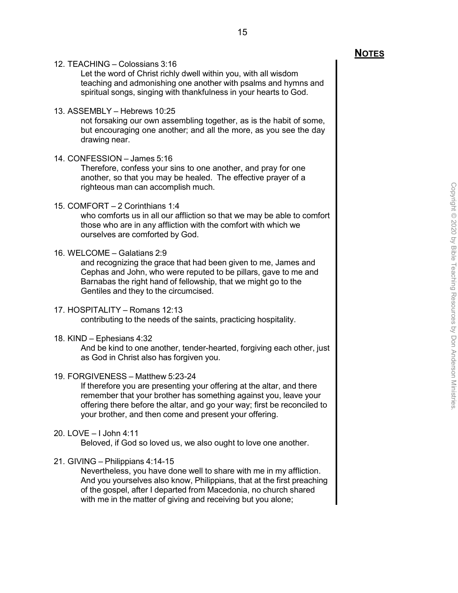12. TEACHING – Colossians 3:16

Let the word of Christ richly dwell within you, with all wisdom teaching and admonishing one another with psalms and hymns and spiritual songs, singing with thankfulness in your hearts to God.

15

13. ASSEMBLY – Hebrews 10:25

not forsaking our own assembling together, as is the habit of some, but encouraging one another; and all the more, as you see the day drawing near.

14. CONFESSION – James 5:16

Therefore, confess your sins to one another, and pray for one another, so that you may be healed. The effective prayer of a righteous man can accomplish much.

15. COMFORT – 2 Corinthians 1:4

who comforts us in all our affliction so that we may be able to comfort those who are in any affliction with the comfort with which we ourselves are comforted by God.

#### 16. WELCOME – Galatians 2:9

and recognizing the grace that had been given to me, James and Cephas and John, who were reputed to be pillars, gave to me and Barnabas the right hand of fellowship, that we might go to the Gentiles and they to the circumcised.

#### 17. HOSPITALITY – Romans 12:13

contributing to the needs of the saints, practicing hospitality.

18. KIND – Ephesians 4:32

And be kind to one another, tender-hearted, forgiving each other, just as God in Christ also has forgiven you.

#### 19. FORGIVENESS – Matthew 5:23-24

If therefore you are presenting your offering at the altar, and there remember that your brother has something against you, leave your offering there before the altar, and go your way; first be reconciled to your brother, and then come and present your offering.

#### 20. LOVE – I John 4:11

Beloved, if God so loved us, we also ought to love one another.

#### 21. GIVING – Philippians 4:14-15

Nevertheless, you have done well to share with me in my affliction. And you yourselves also know, Philippians, that at the first preaching of the gospel, after I departed from Macedonia, no church shared with me in the matter of giving and receiving but you alone;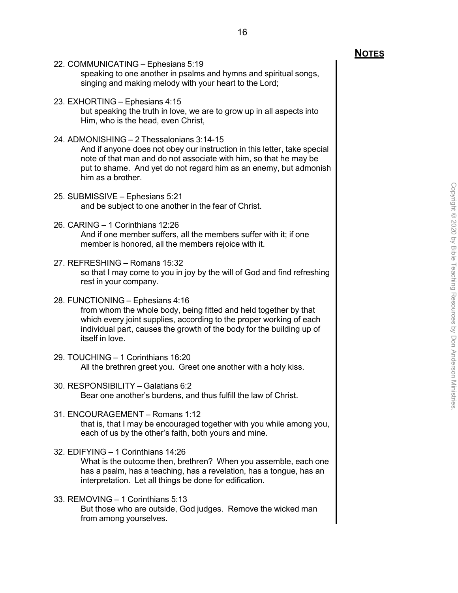22. COMMUNICATING – Ephesians 5:19

speaking to one another in psalms and hymns and spiritual songs, singing and making melody with your heart to the Lord;

23. EXHORTING – Ephesians 4:15

but speaking the truth in love, we are to grow up in all aspects into Him, who is the head, even Christ,

24. ADMONISHING – 2 Thessalonians 3:14-15

And if anyone does not obey our instruction in this letter, take special note of that man and do not associate with him, so that he may be put to shame. And yet do not regard him as an enemy, but admonish him as a brother.

- 25. SUBMISSIVE Ephesians 5:21 and be subject to one another in the fear of Christ.
- 26. CARING 1 Corinthians 12:26

And if one member suffers, all the members suffer with it; if one member is honored, all the members rejoice with it.

27. REFRESHING – Romans 15:32

so that I may come to you in joy by the will of God and find refreshing rest in your company.

28. FUNCTIONING – Ephesians 4:16

from whom the whole body, being fitted and held together by that which every joint supplies, according to the proper working of each individual part, causes the growth of the body for the building up of itself in love.

- 29. TOUCHING 1 Corinthians 16:20 All the brethren greet you. Greet one another with a holy kiss.
- 30. RESPONSIBILITY Galatians 6:2 Bear one another's burdens, and thus fulfill the law of Christ.
- 31. ENCOURAGEMENT Romans 1:12 that is, that I may be encouraged together with you while among you, each of us by the other's faith, both yours and mine.
- 32. EDIFYING 1 Corinthians 14:26

What is the outcome then, brethren? When you assemble, each one has a psalm, has a teaching, has a revelation, has a tongue, has an interpretation. Let all things be done for edification.

33. REMOVING – 1 Corinthians 5:13 But those who are outside, God judges. Remove the wicked man from among yourselves.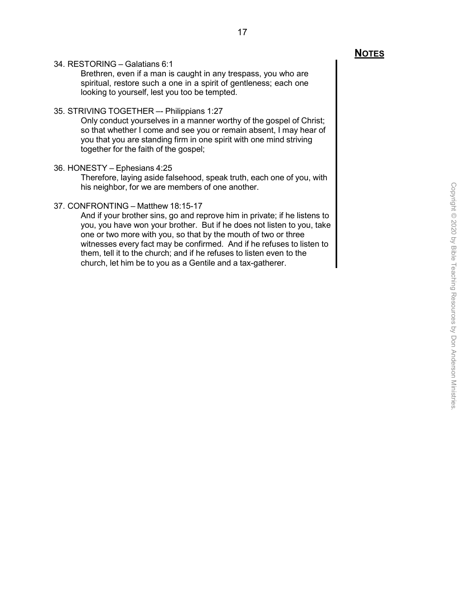#### 34. RESTORING – Galatians 6:1

Brethren, even if a man is caught in any trespass, you who are spiritual, restore such a one in a spirit of gentleness; each one looking to yourself, lest you too be tempted.

#### 35. STRIVING TOGETHER –- Philippians 1:27

Only conduct yourselves in a manner worthy of the gospel of Christ; so that whether I come and see you or remain absent, I may hear of you that you are standing firm in one spirit with one mind striving together for the faith of the gospel;

#### 36. HONESTY – Ephesians 4:25

Therefore, laying aside falsehood, speak truth, each one of you, with his neighbor, for we are members of one another.

#### 37. CONFRONTING – Matthew 18:15-17

And if your brother sins, go and reprove him in private; if he listens to you, you have won your brother. But if he does not listen to you, take one or two more with you, so that by the mouth of two or three witnesses every fact may be confirmed. And if he refuses to listen to them, tell it to the church; and if he refuses to listen even to the church, let him be to you as a Gentile and a tax-gatherer.